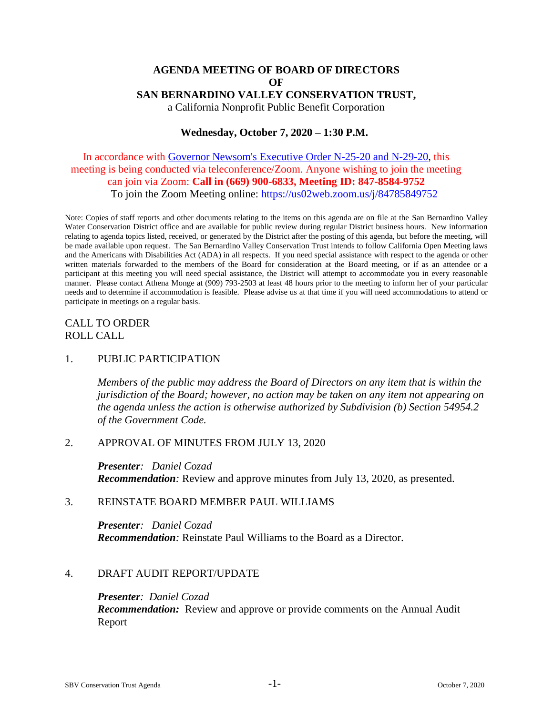# **AGENDA MEETING OF BOARD OF DIRECTORS OF SAN BERNARDINO VALLEY CONSERVATION TRUST,** a California Nonprofit Public Benefit Corporation

## **Wednesday, October 7, 2020 – 1:30 P.M.**

# In accordance with [Governor Newsom's Executive Order N-25-20 and N-29-20,](https://www.gov.ca.gov/wp-content/uploads/2020/03/3.12.20-EO-N-25-20-COVID-19.pdf) this meeting is being conducted via teleconference/Zoom. Anyone wishing to join the meeting can join via Zoom: **Call in (669) 900-6833, Meeting ID: 847-8584-9752** To join the Zoom Meeting online:<https://us02web.zoom.us/j/84785849752>

Note: Copies of staff reports and other documents relating to the items on this agenda are on file at the San Bernardino Valley Water Conservation District office and are available for public review during regular District business hours. New information relating to agenda topics listed, received, or generated by the District after the posting of this agenda, but before the meeting, will be made available upon request. The San Bernardino Valley Conservation Trust intends to follow California Open Meeting laws and the Americans with Disabilities Act (ADA) in all respects. If you need special assistance with respect to the agenda or other written materials forwarded to the members of the Board for consideration at the Board meeting, or if as an attendee or a participant at this meeting you will need special assistance, the District will attempt to accommodate you in every reasonable manner. Please contact Athena Monge at (909) 793-2503 at least 48 hours prior to the meeting to inform her of your particular needs and to determine if accommodation is feasible. Please advise us at that time if you will need accommodations to attend or participate in meetings on a regular basis.

# CALL TO ORDER ROLL CALL

### 1. PUBLIC PARTICIPATION

*Members of the public may address the Board of Directors on any item that is within the jurisdiction of the Board; however, no action may be taken on any item not appearing on the agenda unless the action is otherwise authorized by Subdivision (b) Section 54954.2 of the Government Code.*

### 2. APPROVAL OF MINUTES FROM JULY 13, 2020

*Presenter: Daniel Cozad Recommendation:* Review and approve minutes from July 13, 2020, as presented.

### 3. REINSTATE BOARD MEMBER PAUL WILLIAMS

*Presenter: Daniel Cozad Recommendation:* Reinstate Paul Williams to the Board as a Director.

### 4. DRAFT AUDIT REPORT/UPDATE

#### *Presenter: Daniel Cozad*

*Recommendation:* Review and approve or provide comments on the Annual Audit Report